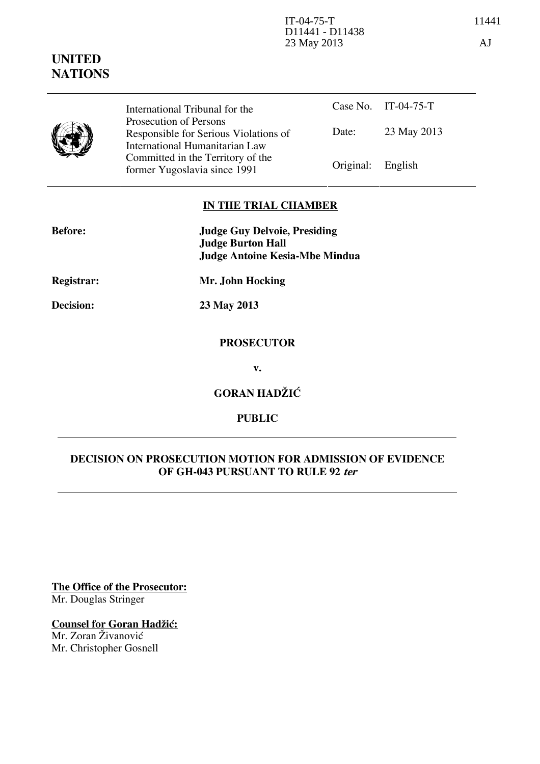# **UNITED NATIONS**

|  | International Tribunal for the                                                                    |                   | Case No. IT-04-75-T |
|--|---------------------------------------------------------------------------------------------------|-------------------|---------------------|
|  | Prosecution of Persons<br>Responsible for Serious Violations of<br>International Humanitarian Law | Date:             | 23 May 2013         |
|  | Committed in the Territory of the<br>former Yugoslavia since 1991                                 | Original: English |                     |

## **IN THE TRIAL CHAMBER**

| <b>Before:</b>    | <b>Judge Guy Delvoie, Presiding</b><br><b>Judge Burton Hall</b> |  |
|-------------------|-----------------------------------------------------------------|--|
| <b>Registrar:</b> | <b>Judge Antoine Kesia-Mbe Mindua</b><br>Mr. John Hocking       |  |
| Decision:         |                                                                 |  |
|                   | 23 May 2013                                                     |  |
|                   | <b>PROSECUTOR</b>                                               |  |
|                   | v.                                                              |  |

**GORAN HADŽIĆ** 

### **PUBLIC**

### **DECISION ON PROSECUTION MOTION FOR ADMISSION OF EVIDENCE OF GH-043 PURSUANT TO RULE 92 ter**

**The Office of the Prosecutor:** Mr. Douglas Stringer

## **Counsel for Goran Hadžić:**

Mr. Zoran Živanović Mr. Christopher Gosnell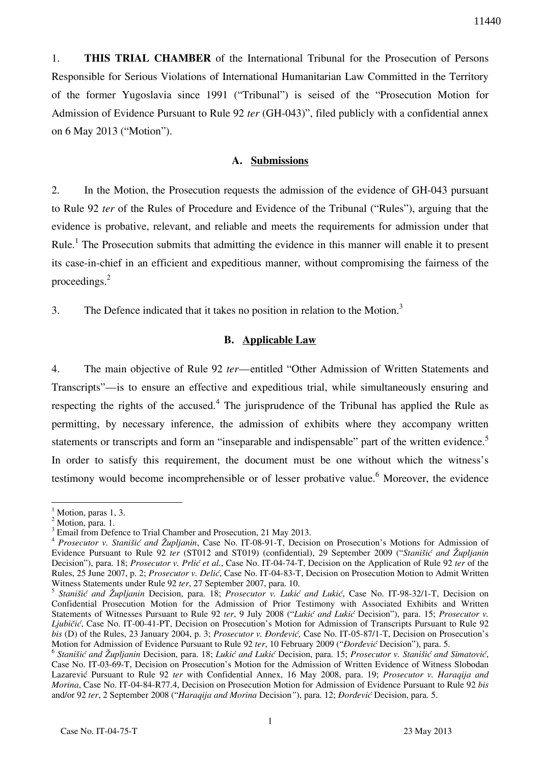1. **THIS TRIAL CHAMBER** of the International Tribunal for the Prosecution of Persons Responsible for Serious Violations of International Humanitarian Law Committed in the Territory of the former Yugoslavia since 1991 ("Tribunal") is seised of the "Prosecution Motion for Admission of Evidence Pursuant to Rule 92 *ter* (GH-043)", filed publicly with a confidential annex on 6 May 2013 ("Motion").

### **A. Submissions**

2. In the Motion, the Prosecution requests the admission of the evidence of GH-043 pursuant to Rule 92 *ter* of the Rules of Procedure and Evidence of the Tribunal ("Rules"), arguing that the evidence is probative, relevant, and reliable and meets the requirements for admission under that Rule.<sup>1</sup> The Prosecution submits that admitting the evidence in this manner will enable it to present its case-in-chief in an efficient and expeditious manner, without compromising the fairness of the proceedings. $2$ 

3. The Defence indicated that it takes no position in relation to the Motion.<sup>3</sup>

#### **B. Applicable Law**

4. The main objective of Rule 92 *ter*—entitled "Other Admission of Written Statements and Transcripts"—is to ensure an effective and expeditious trial, while simultaneously ensuring and respecting the rights of the accused.<sup>4</sup> The jurisprudence of the Tribunal has applied the Rule as permitting, by necessary inference, the admission of exhibits where they accompany written statements or transcripts and form an "inseparable and indispensable" part of the written evidence.<sup>5</sup> In order to satisfy this requirement, the document must be one without which the witness's testimony would become incomprehensible or of lesser probative value.<sup>6</sup> Moreover, the evidence

 $\overline{a}$ 

<sup>1</sup> Motion, paras 1, 3.

 $^2$  Motion, para. 1.

Email from Defence to Trial Chamber and Prosecution, 21 May 2013.

<sup>4</sup> *Prosecutor v. Stanišić and Župljanin*, Case No. IT-08-91-T, Decision on Prosecution's Motions for Admission of Evidence Pursuant to Rule 92 *ter* (ST012 and ST019) (confidential), 29 September 2009 ("*Stanišić and Župljanin* Decision"), para. 18; *Prosecutor v. Prlić et al.*, Case No. IT-04-74-T, Decision on the Application of Rule 92 *ter* of the Rules, 25 June 2007, p. 2; *Prosecutor v. Deli}*, Case No. IT-04-83-T, Decision on Prosecution Motion to Admit Written Witness Statements under Rule 92 *ter*, 27 September 2007, para. 10.

<sup>&</sup>lt;sup>5</sup> Stanišić and Župljanin Decision, para. 18; Prosecutor v. Lukić and Lukić, Case No. IT-98-32/1-T, Decision on Confidential Prosecution Motion for the Admission of Prior Testimony with Associated Exhibits and Written Statements of Witnesses Pursuant to Rule 92 ter, 9 July 2008 ("Lukić and Lukić Decision"), para. 15; *Prosecutor v. Ljubičić*, Case No. IT-00-41-PT, Decision on Prosecution's Motion for Admission of Transcripts Pursuant to Rule 92 *bis* (D) of the Rules, 23 January 2004, p. 3; *Prosecutor v. Đorđević*, Case No. IT-05-87/1-T, Decision on Prosecution's Motion for Admission of Evidence Pursuant to Rule 92 *ter*, 10 February 2009 ("*Dorđević* Decision"), para. 5.

<sup>&</sup>lt;sup>6</sup> Stanišić and Župljanin Decision, para. 18; Lukić and Lukić Decision, para. 15; Prosecutor v. Stanišić and Simatović, Case No. IT-03-69-T, Decision on Prosecution's Motion for the Admission of Written Evidence of Witness Slobodan Lazarevi} Pursuant to Rule 92 *ter* with Confidential Annex, 16 May 2008, para. 19; *Prosecutor v. Haraqija and Morina*, Case No. IT-04-84-R77.4, Decision on Prosecution Motion for Admission of Evidence Pursuant to Rule 92 *bis* and/or 92 ter, 2 September 2008 ("*Haraqija and Morina* Decision"), para. 12; *Đorđević* Decision, para. 5.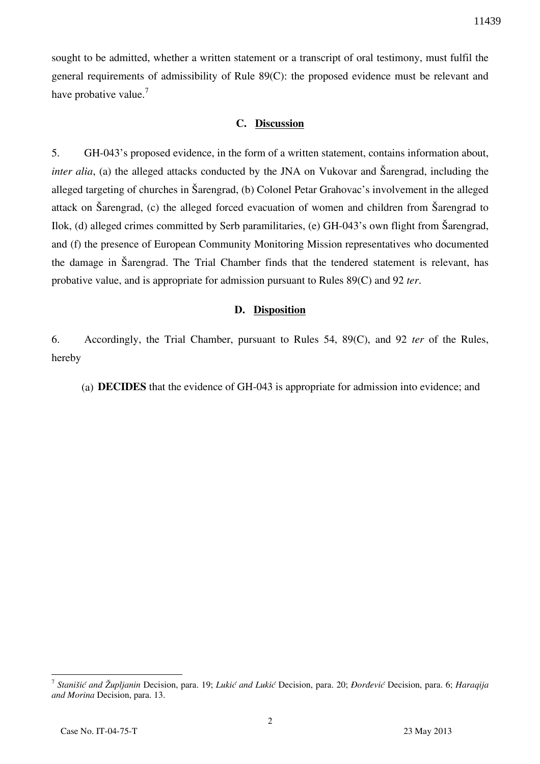sought to be admitted, whether a written statement or a transcript of oral testimony, must fulfil the general requirements of admissibility of Rule 89(C): the proposed evidence must be relevant and have probative value.<sup>7</sup>

#### **C. Discussion**

5. GH-043's proposed evidence, in the form of a written statement, contains information about, *inter alia*, (a) the alleged attacks conducted by the JNA on Vukovar and Sarengrad, including the alleged targeting of churches in Šarengrad, (b) Colonel Petar Grahovac's involvement in the alleged attack on Šarengrad, (c) the alleged forced evacuation of women and children from Šarengrad to Ilok, (d) alleged crimes committed by Serb paramilitaries, (e)  $GH-043$ 's own flight from Šarengrad, and (f) the presence of European Community Monitoring Mission representatives who documented the damage in Sarengrad. The Trial Chamber finds that the tendered statement is relevant, has probative value, and is appropriate for admission pursuant to Rules 89(C) and 92 *ter*.

#### **D. Disposition**

6. Accordingly, the Trial Chamber, pursuant to Rules 54, 89(C), and 92 *ter* of the Rules, hereby

(a) **DECIDES** that the evidence of GH-043 is appropriate for admission into evidence; and

<sup>&</sup>lt;sup>7</sup> Stanišić and Župljanin Decision, para. 19; *Lukić and Lukić* Decision, para. 20; *Đorđević* Decision, para. 6; *Haraqija and Morina* Decision, para. 13.